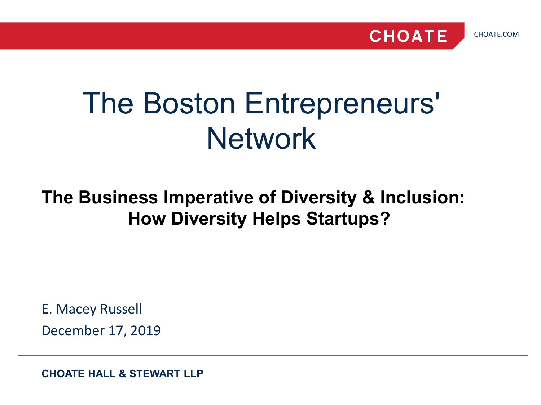



# The Boston Entrepreneurs' **Network**

## **The Business Imperative of Diversity & Inclusion: How Diversity Helps Startups?**

E. Macey Russell December 17, 2019

**CHOATE HALL & STEWART LLP**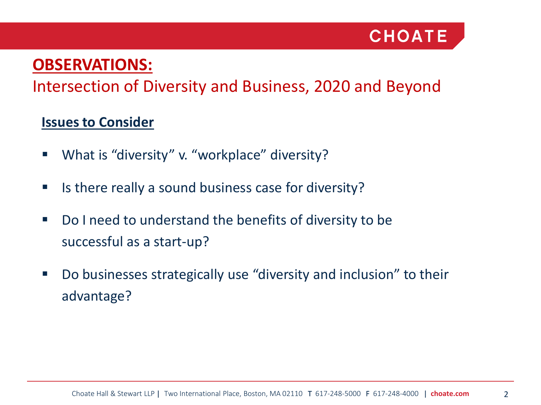

### **OBSERVATIONS:**

### Intersection of Diversity and Business, 2020 and Beyond

#### **Issues to Consider**

- What is "diversity" v. "workplace" diversity?
- **If** Is there really a sound business case for diversity?
- Do I need to understand the benefits of diversity to be successful as a start-up?
- Do businesses strategically use "diversity and inclusion" to their advantage?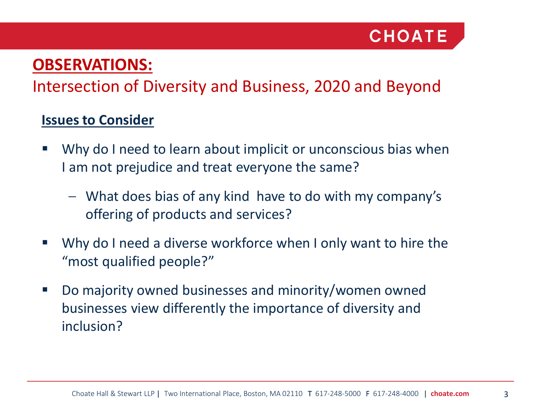### **OBSERVATIONS:**

### Intersection of Diversity and Business, 2020 and Beyond

#### **Issues to Consider**

- Why do I need to learn about implicit or unconscious bias when I am not prejudice and treat everyone the same?
	- What does bias of any kind have to do with my company's offering of products and services?
- Why do I need a diverse workforce when I only want to hire the "most qualified people?"
- Do majority owned businesses and minority/women owned businesses view differently the importance of diversity and inclusion?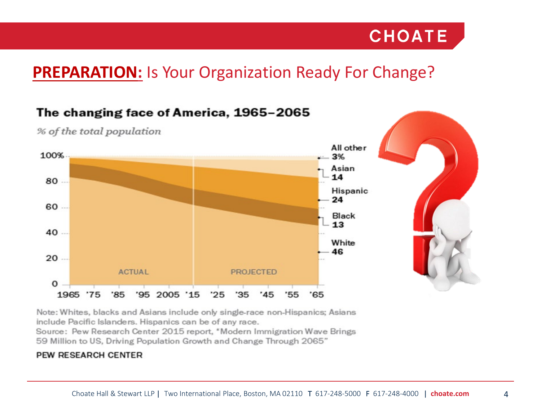

### **PREPARATION:** Is Your Organization Ready For Change?



% of the total population

Note: Whites, blacks and Asians include only single-race non-Hispanics; Asians include Pacific Islanders. Hispanics can be of any race.

Source: Pew Research Center 2015 report, \*Modern Immigration Wave Brings 59 Million to US, Driving Population Growth and Change Through 2065"

#### PEW RESEARCH CENTER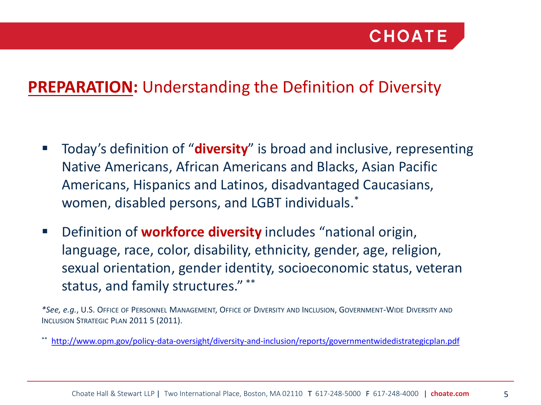### **PREPARATION:** Understanding the Definition of Diversity

- Today's definition of "**diversity**" is broad and inclusive, representing Native Americans, African Americans and Blacks, Asian Pacific Americans, Hispanics and Latinos, disadvantaged Caucasians, women, disabled persons, and LGBT individuals.\*
- **Definition of workforce diversity** includes "national origin, language, race, color, disability, ethnicity, gender, age, religion, sexual orientation, gender identity, socioeconomic status, veteran status, and family structures." \*\*

*\*See, e.g.*, U.S. OFFICE OF PERSONNEL MANAGEMENT, OFFICE OF DIVERSITY AND INCLUSION, GOVERNMENT-WIDE DIVERSITY AND INCLUSION STRATEGIC PLAN 2011 5 (2011).

<http://www.opm.gov/policy-data-oversight/diversity-and-inclusion/reports/governmentwidedistrategicplan.pdf>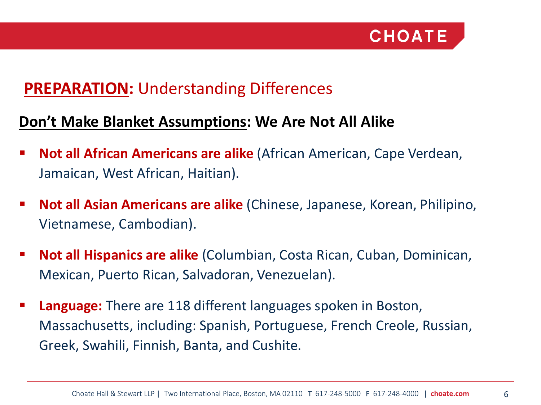

### **PREPARATION: Understanding Differences**

#### **Don't Make Blanket Assumptions: We Are Not All Alike**

- **Not all African Americans are alike** (African American, Cape Verdean, Jamaican, West African, Haitian).
- **Not all Asian Americans are alike** (Chinese, Japanese, Korean, Philipino, Vietnamese, Cambodian).
- **Not all Hispanics are alike** (Columbian, Costa Rican, Cuban, Dominican, Mexican, Puerto Rican, Salvadoran, Venezuelan).
- **Language:** There are 118 different languages spoken in Boston, Massachusetts, including: Spanish, Portuguese, French Creole, Russian, Greek, Swahili, Finnish, Banta, and Cushite.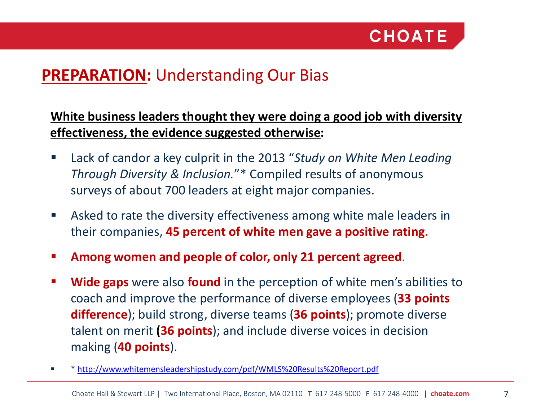### **PREPARATION: Understanding Our Bias**

#### **White business leaders thought they were doing a good job with diversity effectiveness, the evidence suggested otherwise:**

- Lack of candor a key culprit in the 2013 "*Study on White Men Leading Through Diversity & Inclusion.*"\* Compiled results of anonymous surveys of about 700 leaders at eight major companies.
- Asked to rate the diversity effectiveness among white male leaders in their companies, **45 percent of white men gave a positive rating**.
- **Among women and people of color, only 21 percent agreed**.
- **Wide gaps** were also **found** in the perception of white men's abilities to coach and improve the performance of diverse employees (**33 points difference**); build strong, diverse teams (**36 points**); promote diverse talent on merit **(36 points**); and include diverse voices in decision making (**40 points**).
- \* <http://www.whitemensleadershipstudy.com/pdf/WMLS%20Results%20Report.pdf>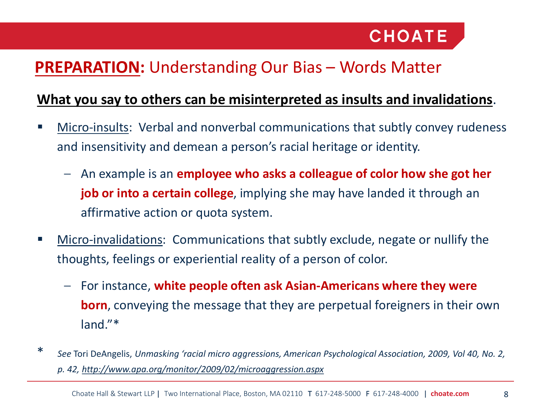

### **PREPARATION:** Understanding Our Bias – Words Matter

#### **What you say to others can be misinterpreted as insults and invalidations**.

- Micro-insults: Verbal and nonverbal communications that subtly convey rudeness and insensitivity and demean a person's racial heritage or identity.
	- An example is an **employee who asks a colleague of color how she got her job or into a certain college**, implying she may have landed it through an affirmative action or quota system.
- Micro-invalidations: Communications that subtly exclude, negate or nullify the thoughts, feelings or experiential reality of a person of color.
	- For instance, **white people often ask Asian-Americans where they were born**, conveying the message that they are perpetual foreigners in their own land."\*
- \* *See* Tori DeAngelis, *Unmasking 'racial micro aggressions, American Psychological Association, 2009, Vol 40, No. 2, p. 42, http://www.apa.org/monitor/2009/02/microaggression.aspx*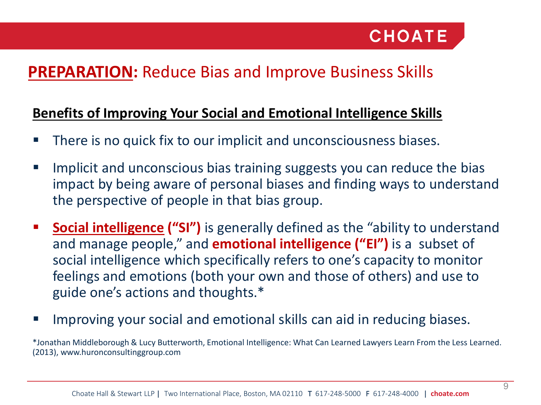### **PREPARATION:** Reduce Bias and Improve Business Skills

#### **Benefits of Improving Your Social and Emotional Intelligence Skills**

- There is no quick fix to our implicit and unconsciousness biases.
- Implicit and unconscious bias training suggests you can reduce the bias impact by being aware of personal biases and finding ways to understand the perspective of people in that bias group.
- **Social intelligence ("SI")** is generally defined as the "ability to understand and manage people," and **emotional intelligence ("EI")** is a subset of social intelligence which specifically refers to one's capacity to monitor feelings and emotions (both your own and those of others) and use to guide one's actions and thoughts.\*
- **IMPROVING YOUT SOCIAL ANDUCERY AND INCOCOLLY INCOCOLLY INTER** INTERFANCE:

\*Jonathan Middleborough & Lucy Butterworth, Emotional Intelligence: What Can Learned Lawyers Learn From the Less Learned. (2013), www.huronconsultinggroup.com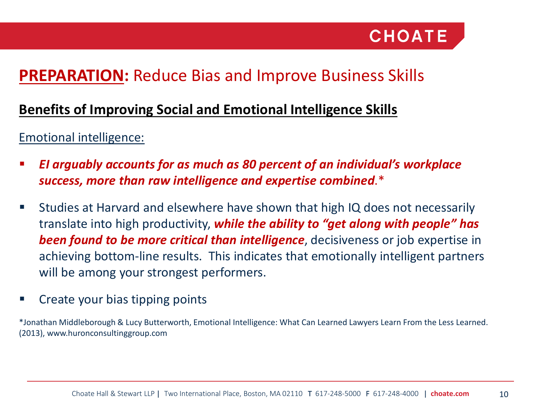### **PREPARATION:** Reduce Bias and Improve Business Skills

#### **Benefits of Improving Social and Emotional Intelligence Skills**

Emotional intelligence:

- *EI arguably accounts for as much as 80 percent of an individual's workplace success, more than raw intelligence and expertise combined*.\*
- Studies at Harvard and elsewhere have shown that high IQ does not necessarily translate into high productivity, *while the ability to "get along with people" has been found to be more critical than intelligence*, decisiveness or job expertise in achieving bottom-line results. This indicates that emotionally intelligent partners will be among your strongest performers.
- Create your bias tipping points

\*Jonathan Middleborough & Lucy Butterworth, Emotional Intelligence: What Can Learned Lawyers Learn From the Less Learned. (2013), www.huronconsultinggroup.com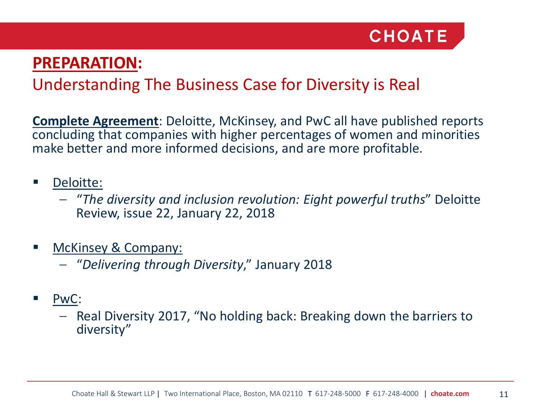

### **PREPARATION:**

### Understanding The Business Case for Diversity is Real

**Complete Agreement**: Deloitte, McKinsey, and PwC all have published reports concluding that companies with higher percentages of women and minorities make better and more informed decisions, and are more profitable.

#### Deloitte:

- "*The diversity and inclusion revolution: Eight powerful truths*" Deloitte Review, issue 22, January 22, 2018
- McKinsey & Company:
	- "*Delivering through Diversity*," January 2018
- PwC:
	- Real Diversity 2017, "No holding back: Breaking down the barriers to diversity"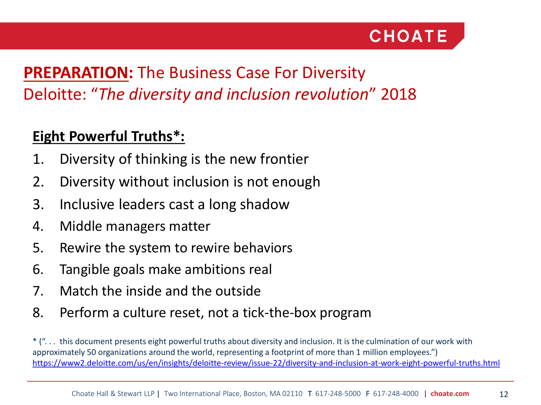

### **PREPARATION:** The Business Case For Diversity Deloitte: "*The diversity and inclusion revolution*" 2018

### **Eight Powerful Truths\*:**

- 1. Diversity of thinking is the new frontier
- 2. Diversity without inclusion is not enough
- 3. Inclusive leaders cast a long shadow
- 4. Middle managers matter
- 5. Rewire the system to rewire behaviors
- 6. Tangible goals make ambitions real
- 7. Match the inside and the outside
- 8. Perform a culture reset, not a tick-the-box program

\* (". . . this document presents eight powerful truths about diversity and inclusion. It is the culmination of our work with approximately 50 organizations around the world, representing a footprint of more than 1 million employees.") <https://www2.deloitte.com/us/en/insights/deloitte-review/issue-22/diversity-and-inclusion-at-work-eight-powerful-truths.html>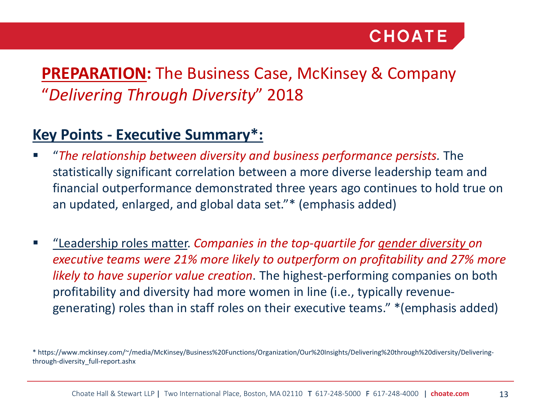### **PREPARATION:** The Business Case, McKinsey & Company "*Delivering Through Diversity*" 2018

### **Key Points - Executive Summary\*:**

- "*The relationship between diversity and business performance persists.* The statistically significant correlation between a more diverse leadership team and financial outperformance demonstrated three years ago continues to hold true on an updated, enlarged, and global data set."\* (emphasis added)
- "Leadership roles matter. *Companies in the top-quartile for gender diversity on executive teams were 21% more likely to outperform on profitability and 27% more likely to have superior value creation*. The highest-performing companies on both profitability and diversity had more women in line (i.e., typically revenuegenerating) roles than in staff roles on their executive teams." \*(emphasis added)

<sup>\*</sup> https://www.mckinsey.com/~/media/McKinsey/Business%20Functions/Organization/Our%20Insights/Delivering%20through%20diversity/Deliveringthrough-diversity\_full-report.ashx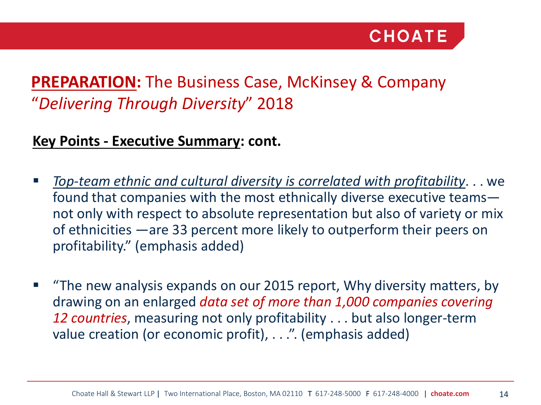### **PREPARATION:** The Business Case, McKinsey & Company "*Delivering Through Diversity*" 2018

#### **Key Points - Executive Summary: cont.**

- *Top-team ethnic and cultural diversity is correlated with profitability*. . . we found that companies with the most ethnically diverse executive teams not only with respect to absolute representation but also of variety or mix of ethnicities —are 33 percent more likely to outperform their peers on profitability." (emphasis added)
- **The new analysis expands on our 2015 report, Why diversity matters, by** drawing on an enlarged *data set of more than 1,000 companies covering 12 countries*, measuring not only profitability . . . but also longer-term value creation (or economic profit), . . .". (emphasis added)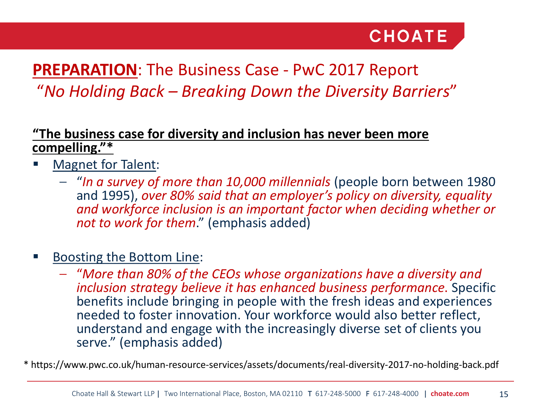### **PREPARATION**: The Business Case - PwC 2017 Report "*No Holding Back – Breaking Down the Diversity Barriers*"

#### **"The business case for diversity and inclusion has never been more compelling."\***

- Magnet for Talent:
	- "*In a survey of more than 10,000 millennials* (people born between 1980 and 1995), *over 80% said that an employer's policy on diversity, equality and workforce inclusion is an important factor when deciding whether or not to work for them*." (emphasis added)

#### Boosting the Bottom Line:

– "*More than 80% of the CEOs whose organizations have a diversity and inclusion strategy believe it has enhanced business performance*. Specific benefits include bringing in people with the fresh ideas and experiences needed to foster innovation. Your workforce would also better reflect, understand and engage with the increasingly diverse set of clients you serve." (emphasis added)

\* https://www.pwc.co.uk/human-resource-services/assets/documents/real-diversity-2017-no-holding-back.pdf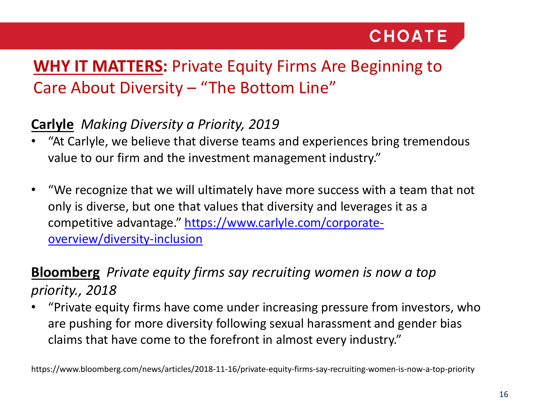### **WHY IT MATTERS:** Private Equity Firms Are Beginning to Care About Diversity – "The Bottom Line"

#### **Carlyle** *Making Diversity a Priority, 2019*

- "At Carlyle, we believe that diverse teams and experiences bring tremendous value to our firm and the investment management industry."
- "We recognize that we will ultimately have more success with a team that not only is diverse, but one that values that diversity and leverages it as a [competitive advantage." https://www.carlyle.com/corporate](https://www.carlyle.com/corporate-overview/diversity-inclusion)overview/diversity-inclusion

### **Bloomberg** *Private equity firms say recruiting women is now a top priority., 2018*

• "Private equity firms have come under increasing pressure from investors, who are pushing for more diversity following sexual harassment and gender bias claims that have come to the forefront in almost every industry."

https://www.bloomberg.com/news/articles/2018-11-16/private-equity-firms-say-recruiting-women-is-now-a-top-priority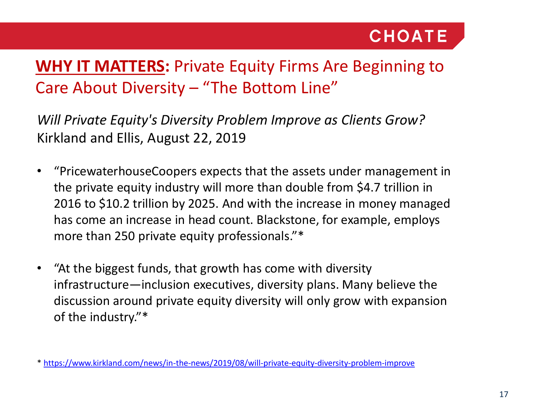### **WHY IT MATTERS:** Private Equity Firms Are Beginning to Care About Diversity – "The Bottom Line"

*Will Private Equity's Diversity Problem Improve as Clients Grow?* Kirkland and Ellis, August 22, 2019

- "PricewaterhouseCoopers expects that the assets under management in the private equity industry will more than double from \$4.7 trillion in 2016 to \$10.2 trillion by 2025. And with the increase in money managed has come an increase in head count. Blackstone, for example, employs more than 250 private equity professionals."\*
- "At the biggest funds, that growth has come with diversity infrastructure—inclusion executives, diversity plans. Many believe the discussion around private equity diversity will only grow with expansion of the industry."\*

\* <https://www.kirkland.com/news/in-the-news/2019/08/will-private-equity-diversity-problem-improve>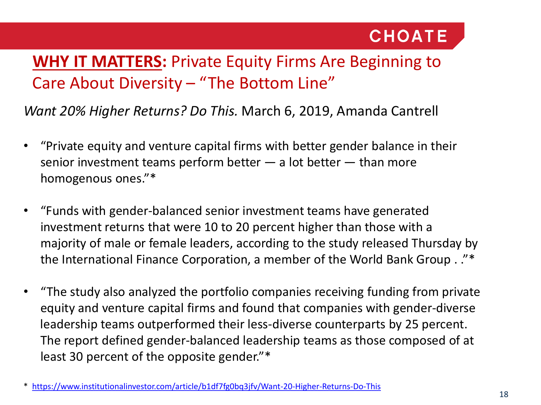### **WHY IT MATTERS:** Private Equity Firms Are Beginning to Care About Diversity – "The Bottom Line"

*Want 20% Higher Returns? Do This.* March 6, 2019, Amanda Cantrell

- "Private equity and venture capital firms with better gender balance in their senior investment teams perform better  $-$  a lot better  $-$  than more homogenous ones."\*
- "Funds with gender-balanced senior investment teams have generated investment returns that were 10 to 20 percent higher than those with a majority of male or female leaders, according to the study released Thursday by the International Finance Corporation, a member of the World Bank Group . ."\*
- "The study also analyzed the portfolio companies receiving funding from private equity and venture capital firms and found that companies with gender-diverse leadership teams outperformed their less-diverse counterparts by 25 percent. The report defined gender-balanced leadership teams as those composed of at least 30 percent of the opposite gender."\*

<sup>\*</sup> <https://www.institutionalinvestor.com/article/b1df7fg0bq3jfv/Want-20-Higher-Returns-Do-This>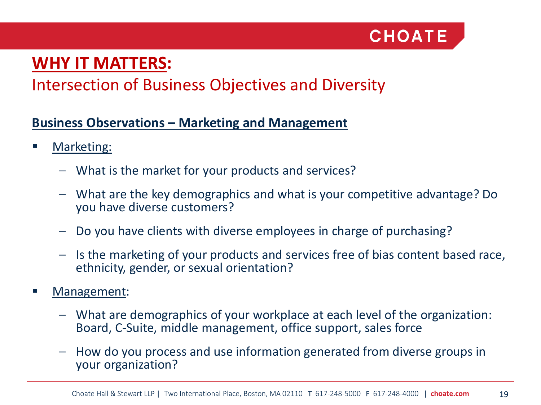

### Intersection of Business Objectives and Diversity

#### **Business Observations – Marketing and Management**

- Marketing:
	- What is the market for your products and services?
	- What are the key demographics and what is your competitive advantage? Do you have diverse customers?
	- Do you have clients with diverse employees in charge of purchasing?
	- Is the marketing of your products and services free of bias content based race, ethnicity, gender, or sexual orientation?
- Management:
	- What are demographics of your workplace at each level of the organization: Board, C-Suite, middle management, office support, sales force
	- How do you process and use information generated from diverse groups in your organization?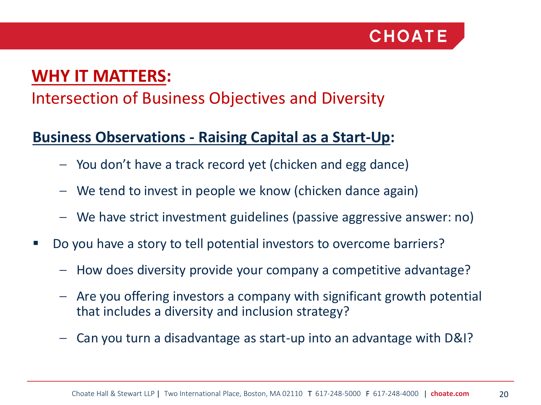

### Intersection of Business Objectives and Diversity

### **Business Observations - Raising Capital as a Start-Up:**

- You don't have a track record yet (chicken and egg dance)
- We tend to invest in people we know (chicken dance again)
- We have strict investment guidelines (passive aggressive answer: no)
- Do you have a story to tell potential investors to overcome barriers?
	- How does diversity provide your company a competitive advantage?
	- Are you offering investors a company with significant growth potential that includes a diversity and inclusion strategy?
	- Can you turn a disadvantage as start-up into an advantage with D&I?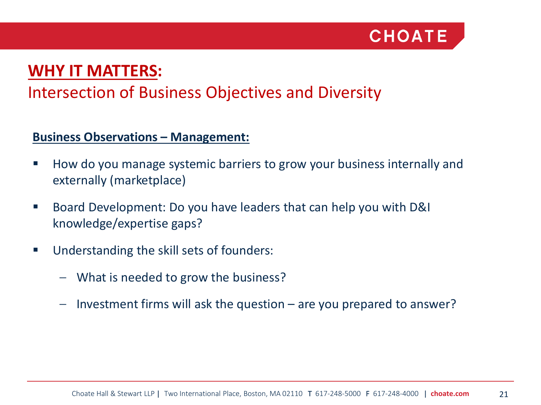

### Intersection of Business Objectives and Diversity

#### **Business Observations – Management:**

- How do you manage systemic barriers to grow your business internally and externally (marketplace)
- Board Development: Do you have leaders that can help you with D&I knowledge/expertise gaps?
- **Understanding the skill sets of founders:** 
	- What is needed to grow the business?
	- Investment firms will ask the question are you prepared to answer?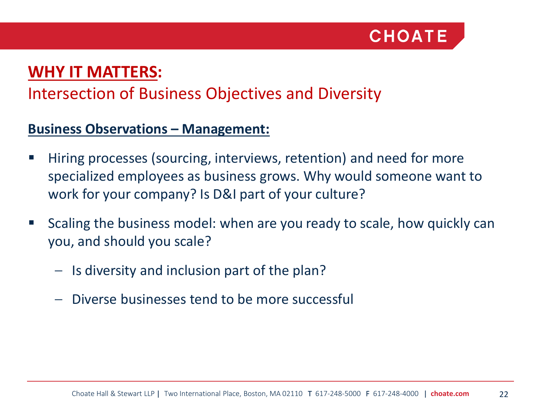

### Intersection of Business Objectives and Diversity

#### **Business Observations – Management:**

- Hiring processes (sourcing, interviews, retention) and need for more specialized employees as business grows. Why would someone want to work for your company? Is D&I part of your culture?
- Scaling the business model: when are you ready to scale, how quickly can you, and should you scale?
	- Is diversity and inclusion part of the plan?
	- Diverse businesses tend to be more successful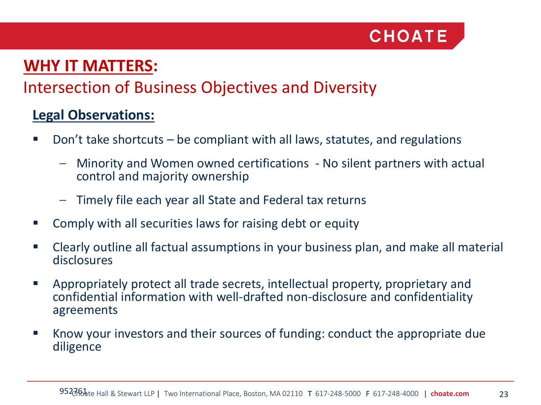

### Intersection of Business Objectives and Diversity

#### **Legal Observations:**

- Don't take shortcuts be compliant with all laws, statutes, and regulations
	- Minority and Women owned certifications No silent partners with actual control and majority ownership
	- Timely file each year all State and Federal tax returns
- Comply with all securities laws for raising debt or equity
- Clearly outline all factual assumptions in your business plan, and make all material disclosures
- Appropriately protect all trade secrets, intellectual property, proprietary and confidential information with well-drafted non-disclosure and confidentiality agreements
- Know your investors and their sources of funding: conduct the appropriate due diligence